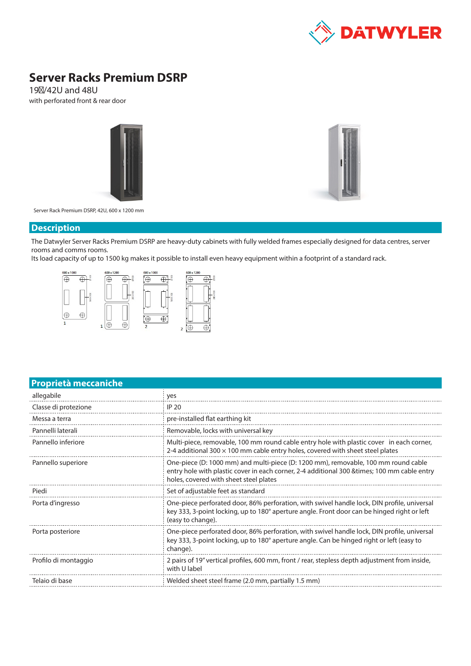

# **Server Racks Premium DSRP**

19″/42U and 48U with perforated front & rear door





Server Rack Premium DSRP, 42U, 600 x 1200 mm

#### **Description**

The Datwyler Server Racks Premium DSRP are heavy-duty cabinets with fully welded frames especially designed for data centres, server rooms and comms rooms.

Its load capacity of up to 1500 kg makes it possible to install even heavy equipment within a footprint of a standard rack.



## **Proprietà meccaniche**

| allegabile           | yes                                                                                                                                                                                                                          |
|----------------------|------------------------------------------------------------------------------------------------------------------------------------------------------------------------------------------------------------------------------|
| Classe di protezione | <b>IP 20</b>                                                                                                                                                                                                                 |
| Messa a terra        | pre-installed flat earthing kit                                                                                                                                                                                              |
| Pannelli laterali    | Removable, locks with universal key                                                                                                                                                                                          |
| Pannello inferiore   | Multi-piece, removable, 100 mm round cable entry hole with plastic cover in each corner,<br>2-4 additional 300 $\times$ 100 mm cable entry holes, covered with sheet steel plates                                            |
| Pannello superiore   | One-piece (D: 1000 mm) and multi-piece (D: 1200 mm), removable, 100 mm round cable<br>entry hole with plastic cover in each corner, 2-4 additional 300 & times; 100 mm cable entry<br>holes, covered with sheet steel plates |
| Piedi                | Set of adjustable feet as standard                                                                                                                                                                                           |
| Porta d'ingresso     | One-piece perforated door, 86% perforation, with swivel handle lock, DIN profile, universal<br>key 333, 3-point locking, up to 180° aperture angle. Front door can be hinged right or left<br>(easy to change).              |
| Porta posteriore     | One-piece perforated door, 86% perforation, with swivel handle lock, DIN profile, universal<br>key 333, 3-point locking, up to 180° aperture angle. Can be hinged right or left (easy to<br>change).                         |
| Profilo di montaggio | 2 pairs of 19" vertical profiles, 600 mm, front / rear, stepless depth adjustment from inside,<br>with U label                                                                                                               |
| Telaio di base       | Welded sheet steel frame (2.0 mm, partially 1.5 mm)                                                                                                                                                                          |